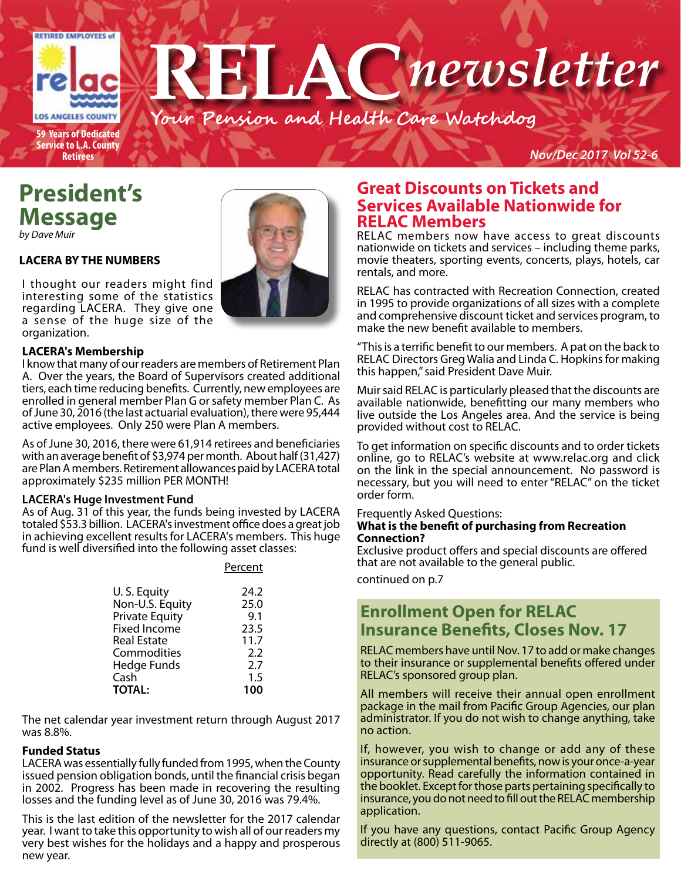

## **President's Message**

*by Dave Muir*

#### **LACERA BY THE NUMBERS**

I thought our readers might find interesting some of the statistics regarding LACERA. They give one a sense of the huge size of the organization.

#### **LACERA's Membership**

I know that many of our readers are members of Retirement Plan A. Over the years, the Board of Supervisors created additional tiers, each time reducing benefits. Currently, new employees are enrolled in general member Plan G or safety member Plan C. As of June 30, 2016 (the last actuarial evaluation), there were 95,444 active employees. Only 250 were Plan A members.

As of June 30, 2016, there were 61,914 retirees and beneficiaries with an average benefit of \$3,974 per month. About half (31,427) are Plan A members. Retirement allowances paid by LACERA total approximately \$235 million PER MONTH!

#### **LACERA's Huge Investment Fund**

As of Aug. 31 of this year, the funds being invested by LACERA totaled \$53.3 billion. LACERA's investment office does a great job in achieving excellent results for LACERA's members. This huge fund is well diversified into the following asset classes:

| U.S. Equity           | 24.2 |
|-----------------------|------|
| Non-U.S. Equity       | 25.0 |
| <b>Private Equity</b> | 9.1  |
| <b>Fixed Income</b>   | 23.5 |
| <b>Real Estate</b>    | 11.7 |
| Commodities           | 2.2  |
| Hedge Funds           | 2.7  |
| Cash                  | 1.5  |
| <b>TOTAL:</b>         | 100  |

Percent

The net calendar year investment return through August 2017 was 8.8%.

#### **Funded Status**

LACERA was essentially fully funded from 1995, when the County issued pension obligation bonds, until the financial crisis began in 2002. Progress has been made in recovering the resulting losses and the funding level as of June 30, 2016 was 79.4%.

This is the last edition of the newsletter for the 2017 calendar year. I want to take this opportunity to wish all of our readers my very best wishes for the holidays and a happy and prosperous new year.



nationwide on tickets and services – including theme parks, movie theaters, sporting events, concerts, plays, hotels, car rentals, and more.

RELAC has contracted with Recreation Connection, created in 1995 to provide organizations of all sizes with a complete and comprehensive discount ticket and services program, to make the new benefit available to members.

"This is a terrific benefit to our members. A pat on the back to RELAC Directors Greg Walia and Linda C. Hopkins for making this happen," said President Dave Muir.

Muir said RELAC is particularly pleased that the discounts are available nationwide, benefitting our many members who live outside the Los Angeles area. And the service is being provided without cost to RELAC.

To get information on specific discounts and to order tickets online, go to RELAC's website at www.relac.org and click on the link in the special announcement. No password is necessary, but you will need to enter "RELAC" on the ticket order form.

#### Frequently Asked Questions:

#### **What is the benefit of purchasing from Recreation Connection?**

Exclusive product offers and special discounts are offered that are not available to the general public.

continued on p.7

### **Enrollment Open for RELAC Insurance Benefits, Closes Nov. 17**

RELAC members have until Nov. 17 to add or make changes to their insurance or supplemental benefits offered under RELAC's sponsored group plan.

All members will receive their annual open enrollment package in the mail from Pacific Group Agencies, our plan administrator. If you do not wish to change anything, take no action.

If, however, you wish to change or add any of these insurance or supplemental benefits, now is your once-a-year opportunity. Read carefully the information contained in the booklet. Except for those parts pertaining specifically to insurance, you do not need to fill out the RELAC membership application.

If you have any questions, contact Pacific Group Agency directly at (800) 511-9065.

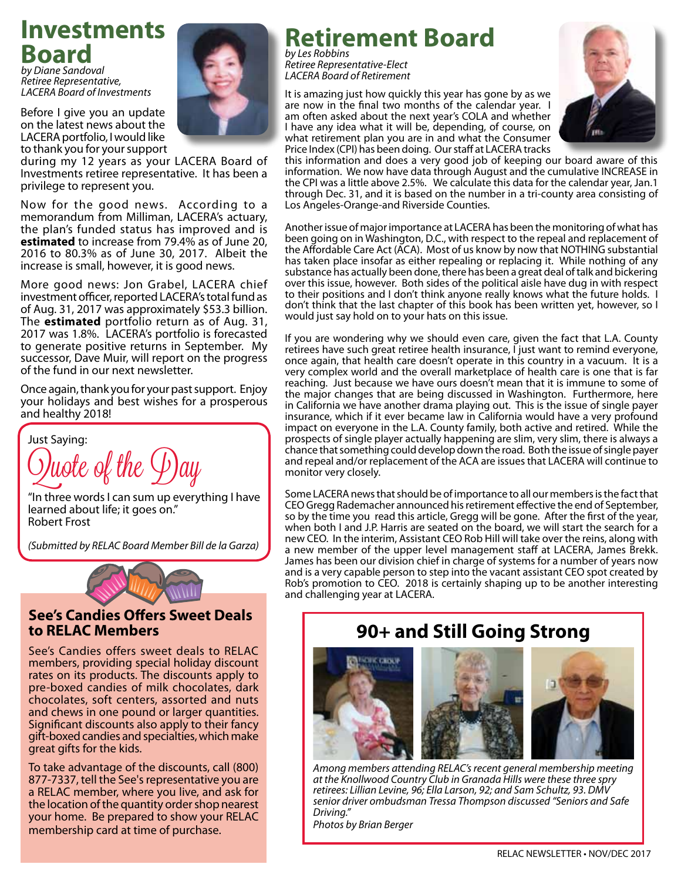## **Investments Board**

*by Diane Sandoval Retiree Representative, LACERA Board of Investments*



Before I give you an update on the latest news about the LACERA portfolio, I would like to thank you for your support

during my 12 years as your LACERA Board of Investments retiree representative. It has been a privilege to represent you.

Now for the good news. According to a memorandum from Milliman, LACERA's actuary, the plan's funded status has improved and is **estimated** to increase from 79.4% as of June 20, 2016 to 80.3% as of June 30, 2017. Albeit the increase is small, however, it is good news.

More good news: Jon Grabel, LACERA chief investment officer, reported LACERA's total fund as of Aug. 31, 2017 was approximately \$53.3 billion. The **estimated** portfolio return as of Aug. 31, 2017 was 1.8%. LACERA's portfolio is forecasted to generate positive returns in September. My successor, Dave Muir, will report on the progress of the fund in our next newsletter.

Once again, thank you for your past support. Enjoy your holidays and best wishes for a prosperous and healthy 2018!

Just Saying: )uote of the  $\varphi$ )ay

"In three words I can sum up everything I have learned about life; it goes on." Robert Frost

*(Submitted by RELAC Board Member Bill de la Garza)*



#### **See's Candies Offers Sweet Deals to RELAC Members**

See's Candies offers sweet deals to RELAC members, providing special holiday discount rates on its products. The discounts apply to pre-boxed candies of milk chocolates, dark chocolates, soft centers, assorted and nuts and chews in one pound or larger quantities. Significant discounts also apply to their fancy gift-boxed candies and specialties, which make great gifts for the kids.

To take advantage of the discounts, call (800) 877-7337, tell the See's representative you are a RELAC member, where you live, and ask for the location of the quantity order shop nearest your home. Be prepared to show your RELAC membership card at time of purchase.

### **Retirement Board** *by Les Robbins*

*Retiree Representative-Elect LACERA Board of Retirement* 

 It is amazing just how quickly this year has gone by as we are now in the final two months of the calendar year. I am often asked about the next year's COLA and whether I have any idea what it will be, depending, of course, on what retirement plan you are in and what the Consumer Price Index (CPI) has been doing. Our staff at LACERA tracks



this information and does a very good job of keeping our board aware of this information. We now have data through August and the cumulative INCREASE in the CPI was a little above 2.5%. We calculate this data for the calendar year, Jan.1 through Dec. 31, and it is based on the number in a tri-county area consisting of Los Angeles-Orange-and Riverside Counties.

Another issue of major importance at LACERA has been the monitoring of what has been going on in Washington, D.C., with respect to the repeal and replacement of the Affordable Care Act (ACA). Most of us know by now that NOTHING substantial has taken place insofar as either repealing or replacing it. While nothing of any substance has actually been done, there has been a great deal of talk and bickering over this issue, however. Both sides of the political aisle have dug in with respect to their positions and I don't think anyone really knows what the future holds. I don't think that the last chapter of this book has been written yet, however, so I would just say hold on to your hats on this issue.

If you are wondering why we should even care, given the fact that L.A. County retirees have such great retiree health insurance, I just want to remind everyone, once again, that health care doesn't operate in this country in a vacuum. It is a very complex world and the overall marketplace of health care is one that is far reaching. Just because we have ours doesn't mean that it is immune to some of the major changes that are being discussed in Washington. Furthermore, here in California we have another drama playing out. This is the issue of single payer insurance, which if it ever became law in California would have a very profound impact on everyone in the L.A. County family, both active and retired. While the prospects of single player actually happening are slim, very slim, there is always a chance that something could develop down the road. Both the issue of single payer and repeal and/or replacement of the ACA are issues that LACERA will continue to monitor very closely.

Some LACERA news that should be of importance to all our members is the fact that CEO Gregg Rademacher announced his retirement effective the end of September, so by the time you read this article, Gregg will be gone. After the first of the year, when both I and J.P. Harris are seated on the board, we will start the search for a new CEO. In the interim, Assistant CEO Rob Hill will take over the reins, along with a new member of the upper level management staff at LACERA, James Brekk. James has been our division chief in charge of systems for a number of years now and is a very capable person to step into the vacant assistant CEO spot created by Rob's promotion to CEO. 2018 is certainly shaping up to be another interesting and challenging year at LACERA.

## **90+ and Still Going Strong**





*Among members attending RELAC's recent general membership meeting at the Knollwood Country Club in Granada Hills were these three spry retirees: Lillian Levine, 96; Ella Larson, 92; and Sam Schultz, 93. DMV senior driver ombudsman Tressa Thompson discussed "Seniors and Safe Driving." Photos by Brian Berger*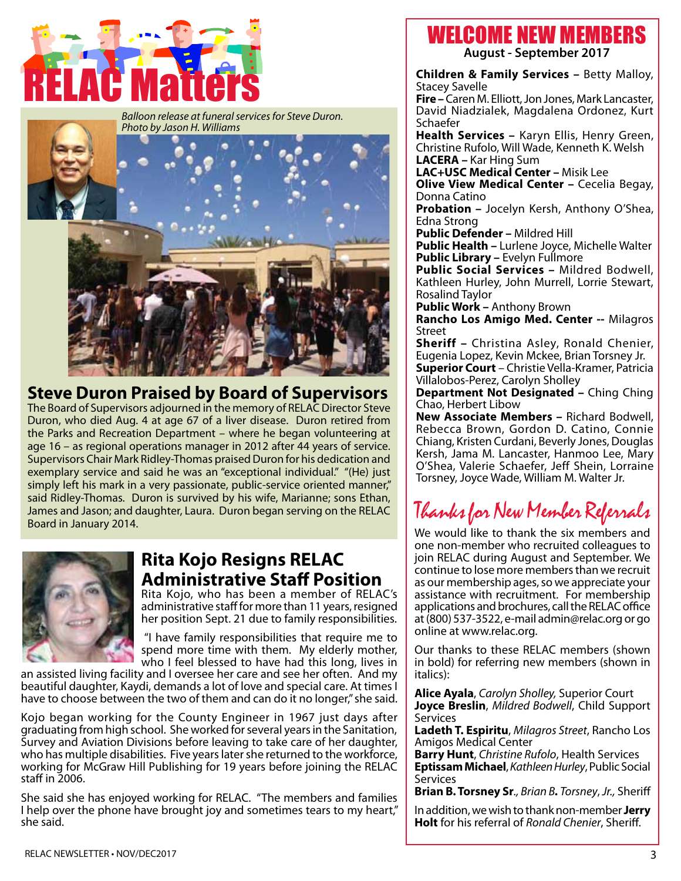



## **Steve Duron Praised by Board of Supervisors**

The Board of Supervisors adjourned in the memory of RELAC Director Steve Duron, who died Aug. 4 at age 67 of a liver disease. Duron retired from the Parks and Recreation Department – where he began volunteering at age 16 – as regional operations manager in 2012 after 44 years of service. Supervisors Chair Mark Ridley-Thomas praised Duron for his dedication and exemplary service and said he was an "exceptional individual." "(He) just simply left his mark in a very passionate, public-service oriented manner," said Ridley-Thomas. Duron is survived by his wife, Marianne; sons Ethan, James and Jason; and daughter, Laura. Duron began serving on the RELAC Board in January 2014.



## **Rita Kojo Resigns RELAC Administrative Staff Position**

Rita Kojo, who has been a member of RELAC's administrative staff for more than 11 years, resigned her position Sept. 21 due to family responsibilities.

 "I have family responsibilities that require me to spend more time with them. My elderly mother, who I feel blessed to have had this long, lives in

an assisted living facility and I oversee her care and see her often. And my beautiful daughter, Kaydi, demands a lot of love and special care. At times I have to choose between the two of them and can do it no longer," she said.

Kojo began working for the County Engineer in 1967 just days after graduating from high school. She worked for several years in the Sanitation, Survey and Aviation Divisions before leaving to take care of her daughter, who has multiple disabilities. Five years later she returned to the workforce, working for McGraw Hill Publishing for 19 years before joining the RELAC staff in 2006.

She said she has enjoyed working for RELAC. "The members and families I help over the phone have brought joy and sometimes tears to my heart," she said.

## WELCOME NEW MEMBERS

**August - September 2017**

**Children & Family Services –** Betty Malloy, Stacey Savelle

**Fire –** Caren M. Elliott, Jon Jones, Mark Lancaster, David Niadzialek, Magdalena Ordonez, Kurt Schaefer

**Health Services –** Karyn Ellis, Henry Green, Christine Rufolo, Will Wade, Kenneth K. Welsh **LACERA –** Kar Hing Sum

**LAC+USC Medical Center –** Misik Lee

**Olive View Medical Center - Cecelia Begay,** Donna Catino

**Probation –** Jocelyn Kersh, Anthony O'Shea, Edna Strong

**Public Defender –** Mildred Hill

**Public Health –** Lurlene Joyce, Michelle Walter **Public Library –** Evelyn Fullmore

**Public Social Services –** Mildred Bodwell, Kathleen Hurley, John Murrell, Lorrie Stewart, Rosalind Taylor

**Public Work –** Anthony Brown

**Rancho Los Amigo Med. Center --** Milagros Street

**Sheriff –** Christina Asley, Ronald Chenier, Eugenia Lopez, Kevin Mckee, Brian Torsney Jr. **Superior Court** – Christie Vella-Kramer, Patricia Villalobos-Perez, Carolyn Sholley

**Department Not Designated –** Ching Ching Chao, Herbert Libow

**New Associate Members –** Richard Bodwell, Rebecca Brown, Gordon D. Catino, Connie Chiang, Kristen Curdani, Beverly Jones, Douglas Kersh, Jama M. Lancaster, Hanmoo Lee, Mary O'Shea, Valerie Schaefer, Jeff Shein, Lorraine Torsney, Joyce Wade, William M. Walter Jr.

## Thanks for New Member Referrals

We would like to thank the six members and one non-member who recruited colleagues to join RELAC during August and September. We continue to lose more members than we recruit as our membership ages, so we appreciate your assistance with recruitment. For membership applications and brochures, call the RELAC office at (800) 537-3522, e-mail admin@relac.org or go online at www.relac.org.

Our thanks to these RELAC members (shown in bold) for referring new members (shown in italics):

**Alice Ayala**, *Carolyn Sholley,* Superior Court **Joyce Breslin**, *Mildred Bodwell*, Child Support Services

**Ladeth T. Espiritu**, *Milagros Street*, Rancho Los Amigos Medical Center

**Barry Hunt**, *Christine Rufolo*, Health Services **Eptissam Michael**,*KathleenHurley*, Public Social **Services** 

**Brian B. Torsney Sr***., Brian B. Torsney*, *Jr.,* Sheriff

In addition, we wish to thank non-member **Jerry Holt** for his referral of *Ronald Chenier*, Sheriff.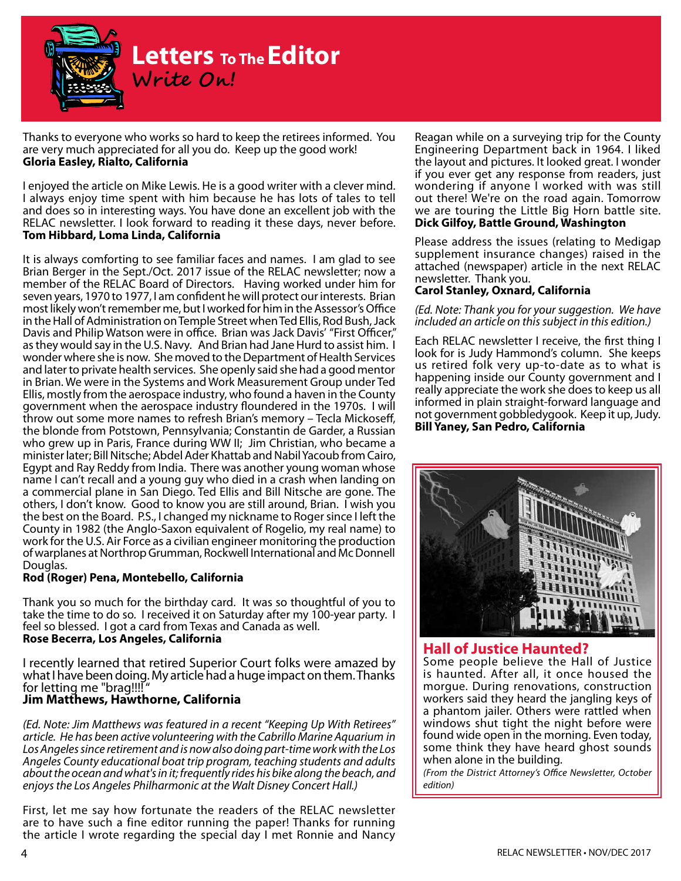

Thanks to everyone who works so hard to keep the retirees informed. You are very much appreciated for all you do. Keep up the good work! **Gloria Easley, Rialto, California**

I enjoyed the article on Mike Lewis. He is a good writer with a clever mind. I always enjoy time spent with him because he has lots of tales to tell and does so in interesting ways. You have done an excellent job with the RELAC newsletter. I look forward to reading it these days, never before. **Tom Hibbard, Loma Linda, California**

It is always comforting to see familiar faces and names. I am glad to see Brian Berger in the Sept./Oct. 2017 issue of the RELAC newsletter; now a member of the RELAC Board of Directors. Having worked under him for seven years, 1970 to 1977, I am confident he will protect our interests. Brian most likely won't remember me, but I worked for him in the Assessor's Office in the Hall of Administration on Temple Street when Ted Ellis, Rod Bush, Jack Davis and Philip Watson were in office. Brian was Jack Davis' "First Officer," as they would say in the U.S. Navy. And Brian had Jane Hurd to assist him. I wonder where she is now. She moved to the Department of Health Services and later to private health services. She openly said she had a good mentor in Brian. We were in the Systems and Work Measurement Group under Ted Ellis, mostly from the aerospace industry, who found a haven in the County government when the aerospace industry floundered in the 1970s. I will throw out some more names to refresh Brian's memory – Tecla Mickoseff, the blonde from Potstown, Pennsylvania; Constantin de Garder, a Russian who grew up in Paris, France during WW II; Jim Christian, who became a minister later; Bill Nitsche; Abdel Ader Khattab and Nabil Yacoub from Cairo, Egypt and Ray Reddy from India. There was another young woman whose name I can't recall and a young guy who died in a crash when landing on a commercial plane in San Diego. Ted Ellis and Bill Nitsche are gone. The others, I don't know. Good to know you are still around, Brian. I wish you the best on the Board. P.S., I changed my nickname to Roger since I left the County in 1982 (the Anglo-Saxon equivalent of Rogelio, my real name) to work for the U.S. Air Force as a civilian engineer monitoring the production of warplanes at Northrop Grumman, Rockwell International and Mc Donnell Douglas.

#### **Rod (Roger) Pena, Montebello, California**

Thank you so much for the birthday card. It was so thoughtful of you to take the time to do so. I received it on Saturday after my 100-year party. I feel so blessed. I got a card from Texas and Canada as well. **Rose Becerra, Los Angeles, California**

I recently learned that retired Superior Court folks were amazed by what I have been doing. My article had a huge impact on them. Thanks for letting me "brag!!!! "

#### **Jim Matthews, Hawthorne, California**

*(Ed. Note: Jim Matthews was featured in a recent "Keeping Up With Retirees" article. He has been active volunteering with the Cabrillo Marine Aquarium in*  Los Angeles since retirement and is now also doing part-time work with the Los *Angeles County educational boat trip program, teaching students and adults about the ocean and what's in it; frequently rides his bike along the beach, and enjoys the Los Angeles Philharmonic at the Walt Disney Concert Hall.)*

First, let me say how fortunate the readers of the RELAC newsletter are to have such a fine editor running the paper! Thanks for running the article I wrote regarding the special day I met Ronnie and Nancy

Reagan while on a surveying trip for the County Engineering Department back in 1964. I liked the layout and pictures. It looked great. I wonder if you ever get any response from readers, just wondering if anyone I worked with was still out there! We're on the road again. Tomorrow we are touring the Little Big Horn battle site. **Dick Gilfoy, Battle Ground, Washington**

Please address the issues (relating to Medigap supplement insurance changes) raised in the attached (newspaper) article in the next RELAC newsletter. Thank you.

#### **Carol Stanley, Oxnard, California**

#### *(Ed. Note: Thank you for your suggestion. We have included an article on this subject in this edition.)*

Each RELAC newsletter I receive, the first thing I look for is Judy Hammond's column. She keeps us retired folk very up-to-date as to what is happening inside our County government and I really appreciate the work she does to keep us all informed in plain straight-forward language and not government gobbledygook. Keep it up, Judy. **Bill Yaney, San Pedro, California**



#### **Hall of Justice Haunted?**

Some people believe the Hall of Justice is haunted. After all, it once housed the morgue. During renovations, construction workers said they heard the jangling keys of a phantom jailer. Others were rattled when windows shut tight the night before were found wide open in the morning. Even today, some think they have heard ghost sounds when alone in the building.

*(From the District Attorney's Office Newsletter, October edition)*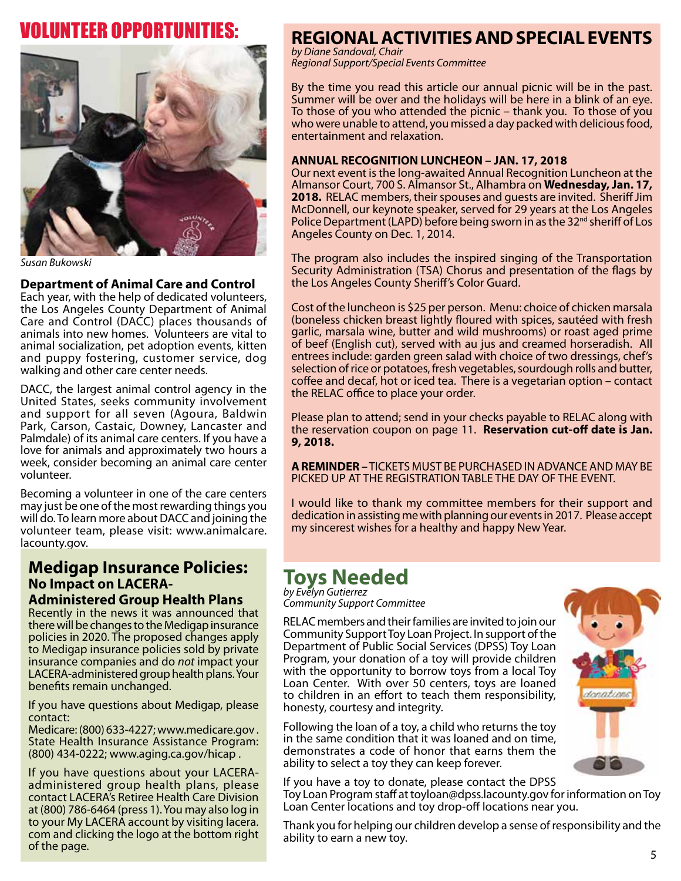## Volunteer Opportunities:



*Susan Bukowski*

#### **Department of Animal Care and Control**

Each year, with the help of dedicated volunteers, the Los Angeles County Department of Animal Care and Control (DACC) places thousands of animals into new homes. Volunteers are vital to animal socialization, pet adoption events, kitten and puppy fostering, customer service, dog walking and other care center needs.

DACC, the largest animal control agency in the United States, seeks community involvement and support for all seven (Agoura, Baldwin Park, Carson, Castaic, Downey, Lancaster and Palmdale) of its animal care centers. If you have a love for animals and approximately two hours a week, consider becoming an animal care center volunteer.

Becoming a volunteer in one of the care centers may just be one of the most rewarding things you will do. To learn more about DACC and joining the volunteer team, please visit: www.animalcare. lacounty.gov.

#### **Medigap Insurance Policies: No Impact on LACERA-Administered Group Health Plans**

Recently in the news it was announced that there will be changes to the Medigap insurance policies in 2020. The proposed changes apply to Medigap insurance policies sold by private insurance companies and do *not* impact your LACERA-administered group health plans. Your benefits remain unchanged.

If you have questions about Medigap, please contact:

Medicare: (800) 633-4227; www.medicare.gov . State Health Insurance Assistance Program: (800) 434-0222; www.aging.ca.gov/hicap .

 $R$  and  $R$  and  $R$  and  $R$  and  $R$  and  $R$  and  $R$  and  $R$  and  $R$  and  $R$  and  $R$  and  $R$  and  $R$  and  $R$  and  $R$  and  $R$  and  $R$  and  $R$  and  $R$  and  $R$  and  $R$  and  $R$  and  $R$  and  $R$  and  $R$  and  $R$  and  $R$  and  $R$  a If you have questions about your LACERAadministered group health plans, please contact LACERA's Retiree Health Care Division at (800) 786-6464 (press 1). You may also log in to your My LACERA account by visiting lacera. com and clicking the logo at the bottom right of the page.

## **REGIONAL ACTIVITIES AND SPECIAL EVENTS**

*by Diane Sandoval, Chair Regional Support/Special Events Committee*

By the time you read this article our annual picnic will be in the past. Summer will be over and the holidays will be here in a blink of an eye. To those of you who attended the picnic – thank you. To those of you who were unable to attend, you missed a day packed with delicious food, entertainment and relaxation.

#### **ANNUAL RECOGNITION LUNCHEON – JAN. 17, 2018**

Our next event is the long-awaited Annual Recognition Luncheon at the Almansor Court, 700 S. Almansor St., Alhambra on **Wednesday, Jan. 17, 2018.** RELAC members, their spouses and guests are invited. Sheriff Jim McDonnell, our keynote speaker, served for 29 years at the Los Angeles Police Department (LAPD) before being sworn in as the 32<sup>nd</sup> sheriff of Los Angeles County on Dec. 1, 2014.

The program also includes the inspired singing of the Transportation Security Administration (TSA) Chorus and presentation of the flags by the Los Angeles County Sheriff's Color Guard.

Cost of the luncheon is \$25 per person. Menu: choice of chicken marsala (boneless chicken breast lightly floured with spices, sautéed with fresh garlic, marsala wine, butter and wild mushrooms) or roast aged prime of beef (English cut), served with au jus and creamed horseradish. All entrees include: garden green salad with choice of two dressings, chef's selection of rice or potatoes, fresh vegetables, sourdough rolls and butter, coffee and decaf, hot or iced tea. There is a vegetarian option – contact the RELAC office to place your order.

Please plan to attend; send in your checks payable to RELAC along with the reservation coupon on page 11. **Reservation cut-off date is Jan. 9, 2018.** 

**A REMINDER –** TICKETS MUST BE PURCHASED IN ADVANCE AND MAY BE PICKED UP AT THE REGISTRATION TABLE THE DAY OF THE EVENT.

I would like to thank my committee members for their support and dedication in assisting me with planning our events in 2017. Please accept my sincerest wishes for a healthy and happy New Year.

## **Toys Needed**

*by Evelyn Gutierrez Community Support Committee*

RELAC members and their families are invited to join our Community Support Toy Loan Project. In support of the Department of Public Social Services (DPSS) Toy Loan Program, your donation of a toy will provide children with the opportunity to borrow toys from a local Toy Loan Center. With over 50 centers, toys are loaned to children in an effort to teach them responsibility, honesty, courtesy and integrity.

Following the loan of a toy, a child who returns the toy in the same condition that it was loaned and on time, demonstrates a code of honor that earns them the ability to select a toy they can keep forever.

If you have a toy to donate, please contact the DPSS Toy Loan Program staff at toyloan@dpss.lacounty.gov for information on Toy Loan Center locations and toy drop-off locations near you.

Thank you for helping our children develop a sense of responsibility and the ability to earn a new toy.

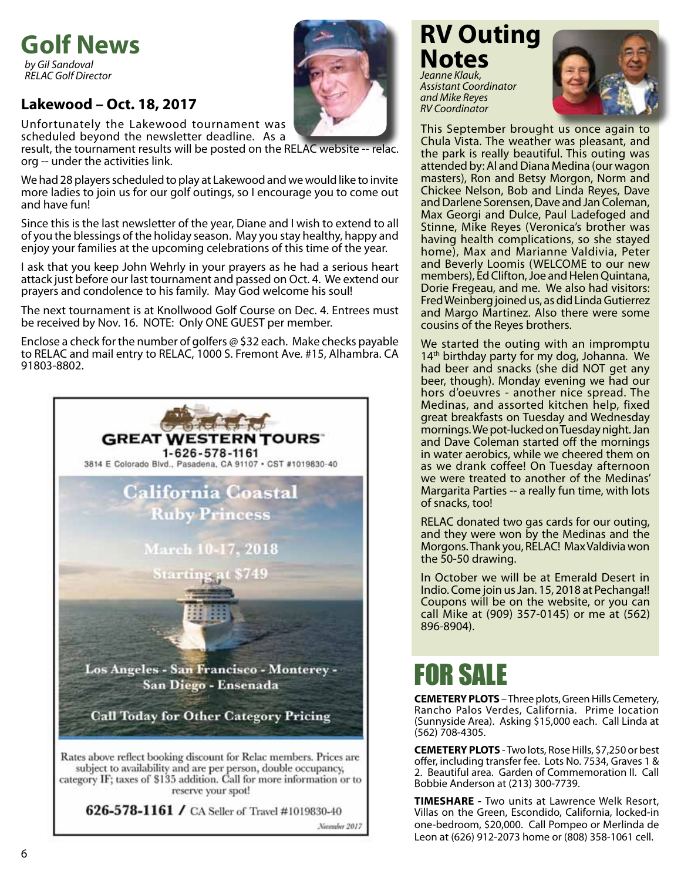## **Golf News** *by Gil Sandoval*

*RELAC Golf Director*

## **Lakewood – Oct. 18, 2017**

Unfortunately the Lakewood tournament was scheduled beyond the newsletter deadline. As a

result, the tournament results will be posted on the RELAC website -- relac. org -- under the activities link.

We had 28 players scheduled to play at Lakewood and we would like to invite more ladies to join us for our golf outings, so I encourage you to come out and have fun!

Since this is the last newsletter of the year, Diane and I wish to extend to all of you the blessings of the holiday season. May you stay healthy, happy and enjoy your families at the upcoming celebrations of this time of the year.

I ask that you keep John Wehrly in your prayers as he had a serious heart attack just before our last tournament and passed on Oct. 4. We extend our prayers and condolence to his family. May God welcome his soul!

The next tournament is at Knollwood Golf Course on Dec. 4. Entrees must be received by Nov. 16. NOTE: Only ONE GUEST per member.

Enclose a check for the number of golfers @ \$32 each. Make checks payable to RELAC and mail entry to RELAC, 1000 S. Fremont Ave. #15, Alhambra. CA 91803-8802.



reserve your spot!

626-578-1161 / CA Seller of Travel #1019830-40 November 2017

## **RV Outing Notes**

*Jeanne Klauk, Assistant Coordinator and Mike Reyes RV Coordinator*



This September brought us once again to Chula Vista. The weather was pleasant, and the park is really beautiful. This outing was attended by: Al and Diana Medina (our wagon masters), Ron and Betsy Morgon, Norm and Chickee Nelson, Bob and Linda Reyes, Dave and Darlene Sorensen, Dave and Jan Coleman, Max Georgi and Dulce, Paul Ladefoged and Stinne, Mike Reyes (Veronica's brother was having health complications, so she stayed home), Max and Marianne Valdivia, Peter and Beverly Loomis (WELCOME to our new members), Ed Clifton, Joe and Helen Quintana, Dorie Fregeau, and me. We also had visitors: Fred Weinberg joined us, as did Linda Gutierrez and Margo Martinez. Also there were some cousins of the Reyes brothers.

We started the outing with an impromptu  $14<sup>th</sup>$  birthday party for my dog, Johanna. We had beer and snacks (she did NOT get any beer, though). Monday evening we had our hors d'oeuvres - another nice spread. The Medinas, and assorted kitchen help, fixed great breakfasts on Tuesday and Wednesday mornings. We pot-lucked on Tuesday night. Jan and Dave Coleman started off the mornings in water aerobics, while we cheered them on as we drank coffee! On Tuesday afternoon we were treated to another of the Medinas' Margarita Parties -- a really fun time, with lots of snacks, too!

RELAC donated two gas cards for our outing, and they were won by the Medinas and the Morgons. Thank you, RELAC! Max Valdivia won the 50-50 drawing.

In October we will be at Emerald Desert in Indio. Come join us Jan. 15, 2018 at Pechanga!! Coupons will be on the website, or you can call Mike at (909) 357-0145) or me at (562) 896-8904).

## FOR SALE

**CEMETERY PLOTS** – Three plots, Green Hills Cemetery, Rancho Palos Verdes, California. Prime location (Sunnyside Area). Asking \$15,000 each. Call Linda at (562) 708-4305.

**CEMETERY PLOTS** - Two lots, Rose Hills, \$7,250 or best offer, including transfer fee. Lots No. 7534, Graves 1 & 2. Beautiful area. Garden of Commemoration II. Call Bobbie Anderson at (213) 300-7739.

**TIMESHARE -** Two units at Lawrence Welk Resort, Villas on the Green, Escondido, California, locked-in one-bedroom, \$20,000. Call Pompeo or Merlinda de Leon at (626) 912-2073 home or (808) 358-1061 cell.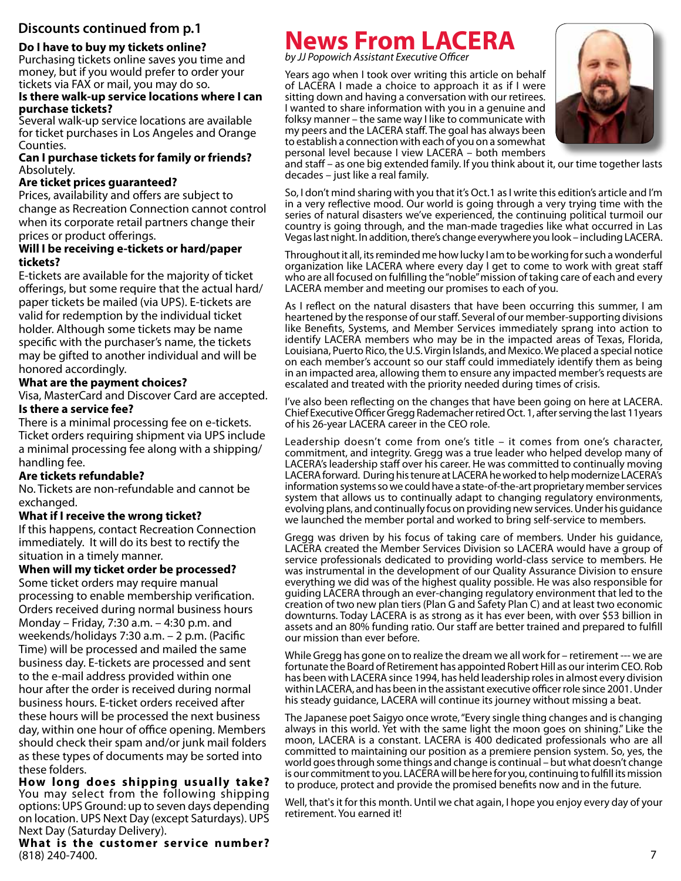#### **Do I have to buy my tickets online?**

Purchasing tickets online saves you time and money, but if you would prefer to order your tickets via FAX or mail, you may do so.

#### **Is there walk-up service locations where I can purchase tickets?**

Several walk-up service locations are available for ticket purchases in Los Angeles and Orange Counties.

#### **Can I purchase tickets for family or friends?** Absolutely.

#### **Are ticket prices guaranteed?**

Prices, availability and offers are subject to change as Recreation Connection cannot control when its corporate retail partners change their prices or product offerings.

#### **Will I be receiving e-tickets or hard/paper tickets?**

E-tickets are available for the majority of ticket offerings, but some require that the actual hard/ paper tickets be mailed (via UPS). E-tickets are valid for redemption by the individual ticket holder. Although some tickets may be name specific with the purchaser's name, the tickets may be gifted to another individual and will be honored accordingly.

#### **What are the payment choices?**

Visa, MasterCard and Discover Card are accepted. **Is there a service fee?**

There is a minimal processing fee on e-tickets. Ticket orders requiring shipment via UPS include a minimal processing fee along with a shipping/ handling fee.

#### **Are tickets refundable?**

No. Tickets are non-refundable and cannot be exchanged.

#### **What if I receive the wrong ticket?**

If this happens, contact Recreation Connection immediately. It will do its best to rectify the situation in a timely manner.

#### **When will my ticket order be processed?**

Some ticket orders may require manual processing to enable membership verification. Orders received during normal business hours Monday – Friday, 7:30 a.m. – 4:30 p.m. and weekends/holidays 7:30 a.m. – 2 p.m. (Pacific Time) will be processed and mailed the same business day. E-tickets are processed and sent to the e-mail address provided within one hour after the order is received during normal business hours. E-ticket orders received after these hours will be processed the next business day, within one hour of office opening. Members should check their spam and/or junk mail folders as these types of documents may be sorted into these folders.

**How long does shipping usually take?** You may select from the following shipping options: UPS Ground: up to seven days depending on location. UPS Next Day (except Saturdays). UPS Next Day (Saturday Delivery).

**What is the customer service number?** (818) 240-7400.

## **Discounts continued from p.1 News From LACERA**

*by JJ Popowich Assistant Executive Officer*

Years ago when I took over writing this article on behalf of LACERA I made a choice to approach it as if I were sitting down and having a conversation with our retirees. I wanted to share information with you in a genuine and folksy manner – the same way I like to communicate with my peers and the LACERA staff. The goal has always been to establish a connection with each of you on a somewhat personal level because I view LACERA – both members



and staff – as one big extended family. If you think about it, our time together lasts decades – just like a real family.

So, I don't mind sharing with you that it's Oct.1 as I write this edition's article and I'm in a very reflective mood. Our world is going through a very trying time with the series of natural disasters we've experienced, the continuing political turmoil our country is going through, and the man-made tragedies like what occurred in Las Vegas last night. In addition, there's change everywhere you look – including LACERA.

Throughout it all, its reminded me how lucky I am to be working for such a wonderful organization like LACERA where every day I get to come to work with great staff who are all focused on fulfilling the "noble" mission of taking care of each and every LACERA member and meeting our promises to each of you.

As I reflect on the natural disasters that have been occurring this summer, I am heartened by the response of our staff. Several of our member-supporting divisions like Benefits, Systems, and Member Services immediately sprang into action to identify LACERA members who may be in the impacted areas of Texas, Florida, Louisiana, Puerto Rico, the U.S. Virgin Islands, and Mexico. We placed a special notice on each member's account so our staff could immediately identify them as being in an impacted area, allowing them to ensure any impacted member's requests are escalated and treated with the priority needed during times of crisis.

I've also been reflecting on the changes that have been going on here at LACERA. Chief Executive Officer Gregg Rademacher retired Oct. 1, after serving the last 11years of his 26-year LACERA career in the CEO role.

Leadership doesn't come from one's title – it comes from one's character, commitment, and integrity. Gregg was a true leader who helped develop many of LACERA's leadership staff over his career. He was committed to continually moving LACERA forward. During his tenure at LACERA he worked to help modernize LACERA's information systems so we could have a state-of-the-art proprietary member services system that allows us to continually adapt to changing regulatory environments, evolving plans, and continually focus on providing new services. Under his guidance we launched the member portal and worked to bring self-service to members.

Gregg was driven by his focus of taking care of members. Under his guidance, LACERA created the Member Services Division so LACERA would have a group of service professionals dedicated to providing world-class service to members. He was instrumental in the development of our Quality Assurance Division to ensure everything we did was of the highest quality possible. He was also responsible for guiding LACERA through an ever-changing regulatory environment that led to the creation of two new plan tiers (Plan G and Safety Plan C) and at least two economic downturns. Today LACERA is as strong as it has ever been, with over \$53 billion in assets and an 80% funding ratio. Our staff are better trained and prepared to fulfill our mission than ever before.

While Gregg has gone on to realize the dream we all work for – retirement --- we are fortunate the Board of Retirement has appointed Robert Hill as our interim CEO. Rob has been with LACERA since 1994, has held leadership roles in almost every division within LACERA, and has been in the assistant executive officer role since 2001. Under his steady guidance, LACERA will continue its journey without missing a beat.

The Japanese poet Saigyo once wrote, "Every single thing changes and is changing always in this world. Yet with the same light the moon goes on shining." Like the moon, LACERA is a constant. LACERA is 400 dedicated professionals who are all committed to maintaining our position as a premiere pension system. So, yes, the world goes through some things and change is continual – but what doesn't change is our commitment to you. LACERA will be here for you, continuing to fulfill its mission to produce, protect and provide the promised benefits now and in the future.

Well, that's it for this month. Until we chat again, I hope you enjoy every day of your retirement. You earned it!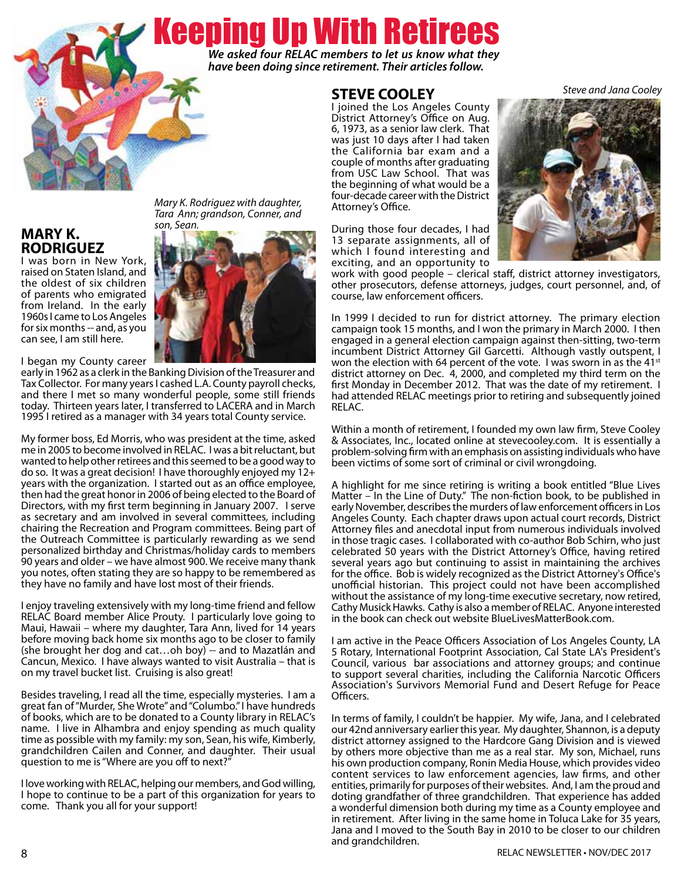# Keeping Up With Retirees

*We asked four RELAC members to let us know what they have been doing since retirement. Their articles follow.*

### **STEVE COOLEY**

I joined the Los Angeles County District Attorney's Office on Aug. 6, 1973, as a senior law clerk. That was just 10 days after I had taken the California bar exam and a couple of months after graduating from USC Law School. That was the beginning of what would be a four-decade career with the District Attorney's Office.



During those four decades, I had 13 separate assignments, all of which I found interesting and exciting, and an opportunity to

work with good people – clerical staff, district attorney investigators, other prosecutors, defense attorneys, judges, court personnel, and, of course, law enforcement officers.

In 1999 I decided to run for district attorney. The primary election campaign took 15 months, and I won the primary in March 2000. I then engaged in a general election campaign against then-sitting, two-term incumbent District Attorney Gil Garcetti. Although vastly outspent, I won the election with 64 percent of the vote. I was sworn in as the 41 $\mathrm{st}$ district attorney on Dec. 4, 2000, and completed my third term on the first Monday in December 2012. That was the date of my retirement. I had attended RELAC meetings prior to retiring and subsequently joined RELAC.

Within a month of retirement, I founded my own law firm, Steve Cooley & Associates, Inc., located online at stevecooley.com. It is essentially a problem-solving firm with an emphasis on assisting individuals who have been victims of some sort of criminal or civil wrongdoing.

A highlight for me since retiring is writing a book entitled "Blue Lives Matter – In the Line of Duty." The non-fiction book, to be published in early November, describes the murders of law enforcement officers in Los Angeles County. Each chapter draws upon actual court records, District Attorney files and anecdotal input from numerous individuals involved in those tragic cases. I collaborated with co-author Bob Schirn, who just celebrated 50 years with the District Attorney's Office, having retired several years ago but continuing to assist in maintaining the archives for the office. Bob is widely recognized as the District Attorney's Office's unofficial historian. This project could not have been accomplished without the assistance of my long-time executive secretary, now retired, Cathy Musick Hawks. Cathy is also a member of RELAC. Anyone interested in the book can check out website BlueLivesMatterBook.com.

I am active in the Peace Officers Association of Los Angeles County, LA 5 Rotary, International Footprint Association, Cal State LA's President's Council, various bar associations and attorney groups; and continue to support several charities, including the California Narcotic Officers Association's Survivors Memorial Fund and Desert Refuge for Peace Officers.

In terms of family, I couldn't be happier. My wife, Jana, and I celebrated our 42nd anniversary earlier this year. My daughter, Shannon, is a deputy district attorney assigned to the Hardcore Gang Division and is viewed by others more objective than me as a real star. My son, Michael, runs his own production company, Ronin Media House, which provides video content services to law enforcement agencies, law firms, and other entities, primarily for purposes of their websites. And, I am the proud and doting grandfather of three grandchildren. That experience has added a wonderful dimension both during my time as a County employee and in retirement. After living in the same home in Toluca Lake for 35 years, Jana and I moved to the South Bay in 2010 to be closer to our children and grandchildren.

#### **MARY K. RODRIGUEZ**

I was born in New York, raised on Staten Island, and the oldest of six children of parents who emigrated from Ireland. In the early 1960s I came to Los Angeles for six months -- and, as you can see, I am still here.

I began my County career

early in 1962 as a clerk in the Banking Division of the Treasurer and Tax Collector. For many years I cashed L.A. County payroll checks, and there I met so many wonderful people, some still friends today. Thirteen years later, I transferred to LACERA and in March 1995 I retired as a manager with 34 years total County service.

My former boss, Ed Morris, who was president at the time, asked me in 2005 to become involved in RELAC. I was a bit reluctant, but wanted to help other retirees and this seemed to be a good way to do so. It was a great decision! I have thoroughly enjoyed my 12+ years with the organization. I started out as an office employee, then had the great honor in 2006 of being elected to the Board of Directors, with my first term beginning in January 2007. I serve as secretary and am involved in several committees, including chairing the Recreation and Program committees. Being part of the Outreach Committee is particularly rewarding as we send personalized birthday and Christmas/holiday cards to members 90 years and older – we have almost 900. We receive many thank you notes, often stating they are so happy to be remembered as they have no family and have lost most of their friends.

I enjoy traveling extensively with my long-time friend and fellow RELAC Board member Alice Prouty. I particularly love going to Maui, Hawaii – where my daughter, Tara Ann, lived for 14 years before moving back home six months ago to be closer to family (she brought her dog and cat…oh boy) -- and to Mazatlán and Cancun, Mexico. I have always wanted to visit Australia – that is on my travel bucket list. Cruising is also great!

Besides traveling, I read all the time, especially mysteries. I am a great fan of "Murder, She Wrote" and "Columbo." I have hundreds of books, which are to be donated to a County library in RELAC's name. I live in Alhambra and enjoy spending as much quality time as possible with my family: my son, Sean, his wife, Kimberly, grandchildren Cailen and Conner, and daughter. Their usual question to me is "Where are you off to next?"

I love working with RELAC, helping our members, and God willing, I hope to continue to be a part of this organization for years to come. Thank you all for your support!



*Mary K. Rodriguez with daughter, Tara Ann; grandson, Conner, and* 

#### *Steve and Jana Cooley*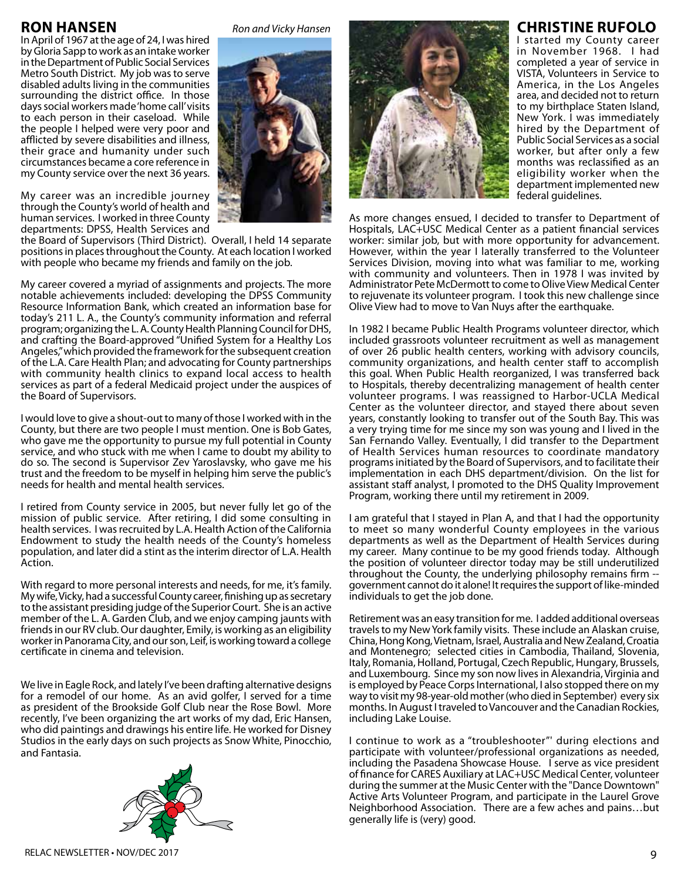### **Ron Hansen**

In April of 1967 at the age of 24, I was hired by Gloria Sapp to work as an intake worker in the Department of Public Social Services Metro South District. My job was to serve disabled adults living in the communities surrounding the district office. In those days social workers made 'home call' visits to each person in their caseload. While the people I helped were very poor and afflicted by severe disabilities and illness, their grace and humanity under such circumstances became a core reference in my County service over the next 36 years.

My career was an incredible journey through the County's world of health and human services. I worked in three County departments: DPSS, Health Services and

the Board of Supervisors (Third District). Overall, I held 14 separate positions in places throughout the County. At each location I worked with people who became my friends and family on the job.

My career covered a myriad of assignments and projects. The more notable achievements included: developing the DPSS Community Resource Information Bank, which created an information base for today's 211 L. A., the County's community information and referral program; organizing the L. A. County Health Planning Council for DHS, and crafting the Board-approved "Unified System for a Healthy Los Angeles," which provided the framework for the subsequent creation of the L.A. Care Health Plan; and advocating for County partnerships with community health clinics to expand local access to health services as part of a federal Medicaid project under the auspices of the Board of Supervisors.

I would love to give a shout-out to many of those I worked with in the County, but there are two people I must mention. One is Bob Gates, who gave me the opportunity to pursue my full potential in County service, and who stuck with me when I came to doubt my ability to do so. The second is Supervisor Zev Yaroslavsky, who gave me his trust and the freedom to be myself in helping him serve the public's needs for health and mental health services.

I retired from County service in 2005, but never fully let go of the mission of public service. After retiring, I did some consulting in health services. I was recruited by L.A. Health Action of the California Endowment to study the health needs of the County's homeless population, and later did a stint as the interim director of L.A. Health Action.

With regard to more personal interests and needs, for me, it's family. My wife, Vicky, had a successful County career, finishing up as secretary to the assistant presiding judge of the Superior Court. She is an active member of the L. A. Garden Club, and we enjoy camping jaunts with friends in our RV club. Our daughter, Emily, is working as an eligibility worker in Panorama City, and our son, Leif, is working toward a college certificate in cinema and television.

We live in Eagle Rock, and lately I've been drafting alternative designs for a remodel of our home. As an avid golfer, I served for a time as president of the Brookside Golf Club near the Rose Bowl. More recently, I've been organizing the art works of my dad, Eric Hansen, who did paintings and drawings his entire life. He worked for Disney Studios in the early days on such projects as Snow White, Pinocchio, and Fantasia.





*Ron and Vicky Hansen*





### **Christine Rufolo**

I started my County career in November 1968. I had completed a year of service in VISTA, Volunteers in Service to America, in the Los Angeles area, and decided not to return to my birthplace Staten Island, New York. I was immediately hired by the Department of Public Social Services as a social worker, but after only a few months was reclassified as an eligibility worker when the department implemented new federal guidelines.

As more changes ensued, I decided to transfer to Department of Hospitals, LAC+USC Medical Center as a patient financial services worker: similar job, but with more opportunity for advancement. However, within the year I laterally transferred to the Volunteer Services Division, moving into what was familiar to me, working with community and volunteers. Then in 1978 I was invited by Administrator Pete McDermott to come to Olive View Medical Center to rejuvenate its volunteer program. I took this new challenge since Olive View had to move to Van Nuys after the earthquake.

In 1982 I became Public Health Programs volunteer director, which included grassroots volunteer recruitment as well as management of over 26 public health centers, working with advisory councils, community organizations, and health center staff to accomplish this goal. When Public Health reorganized, I was transferred back to Hospitals, thereby decentralizing management of health center volunteer programs. I was reassigned to Harbor-UCLA Medical Center as the volunteer director, and stayed there about seven years, constantly looking to transfer out of the South Bay. This was a very trying time for me since my son was young and I lived in the San Fernando Valley. Eventually, I did transfer to the Department of Health Services human resources to coordinate mandatory programs initiated by the Board of Supervisors, and to facilitate their implementation in each DHS department/division. On the list for assistant staff analyst, I promoted to the DHS Quality Improvement Program, working there until my retirement in 2009.

I am grateful that I stayed in Plan A, and that I had the opportunity to meet so many wonderful County employees in the various departments as well as the Department of Health Services during my career. Many continue to be my good friends today. Although the position of volunteer director today may be still underutilized throughout the County, the underlying philosophy remains firm - government cannot do it alone! It requires the support of like-minded individuals to get the job done.

Retirement was an easy transition for me. I added additional overseas travels to my New York family visits. These include an Alaskan cruise, China, Hong Kong, Vietnam, Israel, Australia and New Zealand, Croatia and Montenegro; selected cities in Cambodia, Thailand, Slovenia, Italy, Romania, Holland, Portugal, Czech Republic, Hungary, Brussels, and Luxembourg. Since my son now lives in Alexandria, Virginia and is employed by Peace Corps International, I also stopped there on my way to visit my 98-year-old mother (who died in September) every six months. In August I traveled to Vancouver and the Canadian Rockies, including Lake Louise.

I continue to work as a "troubleshooter"' during elections and participate with volunteer/professional organizations as needed, including the Pasadena Showcase House. I serve as vice president of finance for CARES Auxiliary at LAC+USC Medical Center, volunteer during the summer at the Music Center with the "Dance Downtown" Active Arts Volunteer Program, and participate in the Laurel Grove Neighborhood Association. There are a few aches and pains…but generally life is (very) good.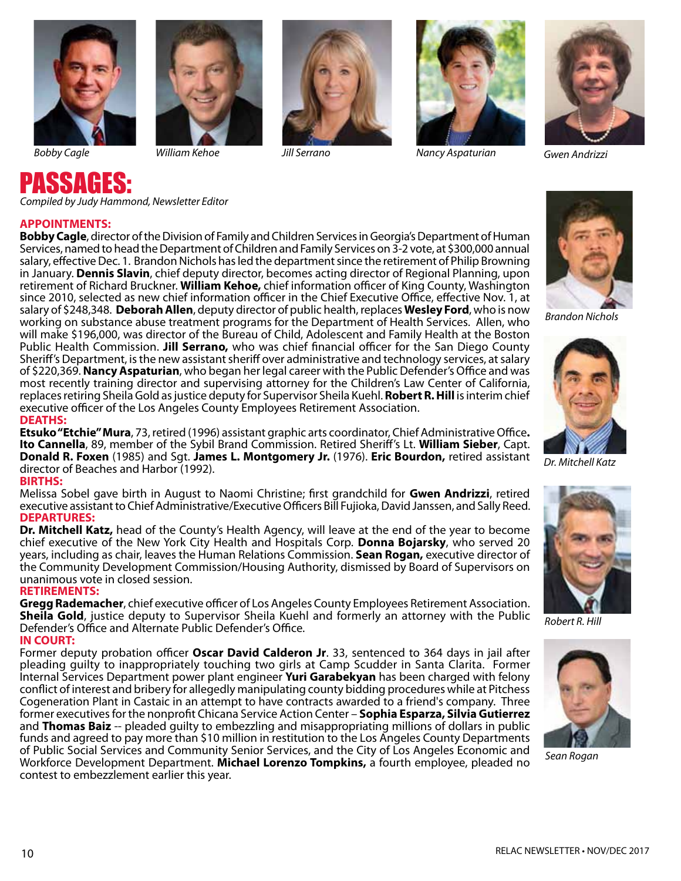







*Bobby Cagle William Kehoe Jill Serrano Nancy Aspaturian Gwen Andrizzi*



# PASSAGES: *Compiled by Judy Hammond, Newsletter Editor*

#### **APPOINTMENTS:**

**Bobby Cagle**, director of the Division of Family and Children Services in Georgia's Department of Human Services, named to head the Department of Children and Family Services on 3-2 vote, at \$300,000 annual salary, effective Dec. 1. Brandon Nichols has led the department since the retirement of Philip Browning in January. **Dennis Slavin**, chief deputy director, becomes acting director of Regional Planning, upon retirement of Richard Bruckner. **William Kehoe,** chief information officer of King County, Washington since 2010, selected as new chief information officer in the Chief Executive Office, effective Nov. 1, at salary of \$248,348. **Deborah Allen**, deputy director of public health, replaces **Wesley Ford**, who is now working on substance abuse treatment programs for the Department of Health Services. Allen, who will make \$196,000, was director of the Bureau of Child, Adolescent and Family Health at the Boston Public Health Commission. **Jill Serrano,** who was chief financial officer for the San Diego County Sheriff's Department, is the new assistant sheriff over administrative and technology services, at salary of \$220,369. **Nancy Aspaturian**, who began her legal career with the Public Defender's Office and was most recently training director and supervising attorney for the Children's Law Center of California, replaces retiring Sheila Gold as justice deputy for Supervisor Sheila Kuehl. **Robert R. Hill** is interim chief executive officer of the Los Angeles County Employees Retirement Association.

#### **DEATHS:**

**Etsuko "Etchie" Mura**, 73, retired (1996) assistant graphic arts coordinator, Chief Administrative Office**. Ito Cannella**, 89, member of the Sybil Brand Commission. Retired Sheriff's Lt. **William Sieber**, Capt. **Donald R. Foxen** (1985) and Sgt. **James L. Montgomery Jr.** (1976). **Eric Bourdon,** retired assistant director of Beaches and Harbor (1992).

#### **BIRTHS:**

Melissa Sobel gave birth in August to Naomi Christine; first grandchild for **Gwen Andrizzi**, retired executive assistant to Chief Administrative/Executive Officers Bill Fujioka, David Janssen, and Sally Reed. **DEPARTURES:**

**Dr. Mitchell Katz,** head of the County's Health Agency, will leave at the end of the year to become chief executive of the New York City Health and Hospitals Corp. **Donna Bojarsky**, who served 20 years, including as chair, leaves the Human Relations Commission. **Sean Rogan,** executive director of the Community Development Commission/Housing Authority, dismissed by Board of Supervisors on unanimous vote in closed session.

#### **RETIREMENTS:**

**Gregg Rademacher**, chief executive officer of Los Angeles County Employees Retirement Association. **Sheila Gold**, justice deputy to Supervisor Sheila Kuehl and formerly an attorney with the Public Defender's Office and Alternate Public Defender's Office. **IN COURT:**

Former deputy probation officer **Oscar David Calderon Jr**. 33, sentenced to 364 days in jail after pleading guilty to inappropriately touching two girls at Camp Scudder in Santa Clarita. Former Internal Services Department power plant engineer **Yuri Garabekyan** has been charged with felony conflict of interest and bribery for allegedly manipulating county bidding procedures while at Pitchess Cogeneration Plant in Castaic in an attempt to have contracts awarded to a friend's company. Three former executives for the nonprofit Chicana Service Action Center – **Sophia Esparza, Silvia Gutierrez** and **Thomas Baiz** -- pleaded guilty to embezzling and misappropriating millions of dollars in public funds and agreed to pay more than \$10 million in restitution to the Los Angeles County Departments of Public Social Services and Community Senior Services, and the City of Los Angeles Economic and Workforce Development Department. **Michael Lorenzo Tompkins,** a fourth employee, pleaded no contest to embezzlement earlier this year.



*Brandon Nichols*



*Dr. Mitchell Katz*



*Robert R. Hill*



*Sean Rogan*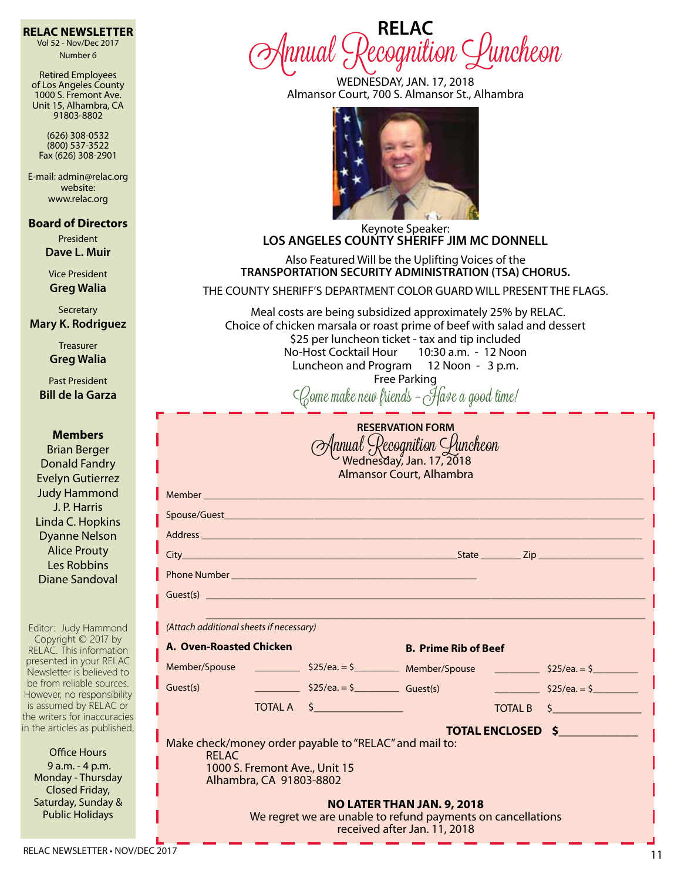#### **RELAC NEWSLETTER**

Vol 52 - Nov/Dec 2017 Number 6

Retired Employees of Los Angeles County 1000 S. Fremont Ave. Unit 15, Alhambra, CA 91803-8802

(626) 308-0532 (800) 537-3522 Fax (626) 308-2901

E-mail: admin@relac.org website: www.relac.org

**Board of Directors**

President **Dave L. Muir**

Vice President **Greg Walia**

**Secretary Mary K. Rodriguez**

> **Treasurer Greg Walia**

Past President **Bill de la Garza**

**Members** Brian Berger Donald Fandry Evelyn Gutierrez Judy Hammond J. P. Harris Linda C. Hopkins Dyanne Nelson Alice Prouty Les Robbins Diane Sandoval

Editor: Judy Hammond Copyright © 2017 by RELAC. This information presented in your RELAC Newsletter is believed to be from reliable sources. However, no responsibility is assumed by RELAC or the writers for inaccuracies in the articles as published.

> Office Hours 9 a.m. - 4 p.m. Monday - Thursday Closed Friday, Saturday, Sunday & Public Holidays

**RELAC** Annual Recognition Luncheon

> WEDNESDAY, JAN. 17, 2018 Almansor Court, 700 S. Almansor St., Alhambra



Keynote Speaker: **LOS ANGELES COUNTY SHERIFF JIM MC DONNELL**

Also Featured Will be the Uplifting Voices of the **TRANSPORTATION SECURITY ADMINISTRATION (TSA) CHORUS.**

THE COUNTY SHERIFF'S DEPARTMENT COLOR GUARD WILL PRESENT THE FLAGS.

 Meal costs are being subsidized approximately 25% by RELAC. Choice of chicken marsala or roast prime of beef with salad and dessert \$25 per luncheon ticket - tax and tip included No-Host Cocktail Hour 10:30 a.m. - 12 Noon Luncheon and Program 12 Noon - 3 p.m. Free Parking

Come make new friends – Have a good time!

|                         |            | Member <b>Management and Community Community</b> |                |                                |
|-------------------------|------------|--------------------------------------------------|----------------|--------------------------------|
|                         |            |                                                  |                |                                |
|                         |            |                                                  |                |                                |
|                         |            |                                                  |                |                                |
|                         |            |                                                  |                |                                |
|                         |            |                                                  |                |                                |
| A. Oven-Roasted Chicken |            | <b>B. Prime Rib of Beef</b>                      |                |                                |
|                         |            |                                                  |                |                                |
|                         |            |                                                  |                |                                |
| Guest(s)                | TOTAL A \$ | $$25/ea. = $$ Guest(s)                           | <b>TOTAL B</b> | $525/ea. = $$<br>$\frac{1}{2}$ |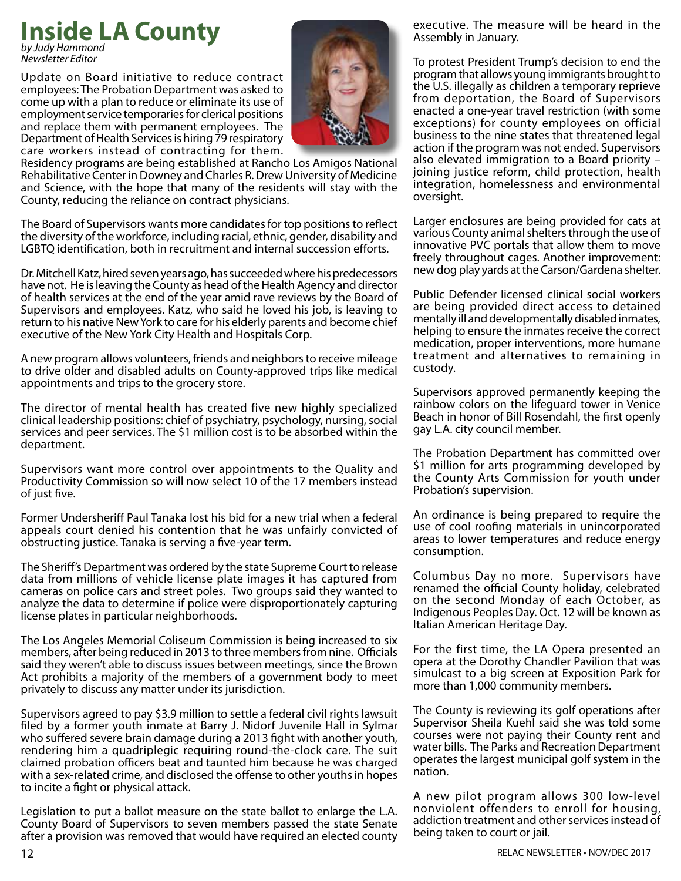## **Inside LA County**

*by Judy Hammond Newsletter Editor*

Update on Board initiative to reduce contract employees: The Probation Department was asked to come up with a plan to reduce or eliminate its use of employment service temporaries for clerical positions and replace them with permanent employees. The Department of Health Services is hiring 79 respiratory care workers instead of contracting for them.



Residency programs are being established at Rancho Los Amigos National Rehabilitative Center in Downey and Charles R. Drew University of Medicine and Science, with the hope that many of the residents will stay with the County, reducing the reliance on contract physicians.

The Board of Supervisors wants more candidates for top positions to reflect the diversity of the workforce, including racial, ethnic, gender, disability and LGBTQ identification, both in recruitment and internal succession efforts.

Dr. Mitchell Katz, hired seven years ago, has succeeded where his predecessors have not. He is leaving the County as head of the Health Agency and director of health services at the end of the year amid rave reviews by the Board of Supervisors and employees. Katz, who said he loved his job, is leaving to return to his native New York to care for his elderly parents and become chief executive of the New York City Health and Hospitals Corp.

A new program allows volunteers, friends and neighbors to receive mileage to drive older and disabled adults on County-approved trips like medical appointments and trips to the grocery store.

The director of mental health has created five new highly specialized clinical leadership positions: chief of psychiatry, psychology, nursing, social services and peer services. The \$1 million cost is to be absorbed within the department.

Supervisors want more control over appointments to the Quality and Productivity Commission so will now select 10 of the 17 members instead of just five.

Former Undersheriff Paul Tanaka lost his bid for a new trial when a federal appeals court denied his contention that he was unfairly convicted of obstructing justice. Tanaka is serving a five-year term.

The Sheriff's Department was ordered by the state Supreme Court to release data from millions of vehicle license plate images it has captured from cameras on police cars and street poles. Two groups said they wanted to analyze the data to determine if police were disproportionately capturing license plates in particular neighborhoods.

The Los Angeles Memorial Coliseum Commission is being increased to six members, after being reduced in 2013 to three members from nine. Officials said they weren't able to discuss issues between meetings, since the Brown Act prohibits a majority of the members of a government body to meet privately to discuss any matter under its jurisdiction.

Supervisors agreed to pay \$3.9 million to settle a federal civil rights lawsuit filed by a former youth inmate at Barry J. Nidorf Juvenile Hall in Sylmar who suffered severe brain damage during a 2013 fight with another youth, rendering him a quadriplegic requiring round-the-clock care. The suit claimed probation officers beat and taunted him because he was charged with a sex-related crime, and disclosed the offense to other youths in hopes to incite a fight or physical attack.

Legislation to put a ballot measure on the state ballot to enlarge the L.A. County Board of Supervisors to seven members passed the state Senate after a provision was removed that would have required an elected county executive. The measure will be heard in the Assembly in January.

To protest President Trump's decision to end the program that allows young immigrants brought to the U.S. illegally as children a temporary reprieve from deportation, the Board of Supervisors enacted a one-year travel restriction (with some exceptions) for county employees on official business to the nine states that threatened legal action if the program was not ended. Supervisors also elevated immigration to a Board priority – joining justice reform, child protection, health integration, homelessness and environmental oversight.

Larger enclosures are being provided for cats at various County animal shelters through the use of innovative PVC portals that allow them to move freely throughout cages. Another improvement: new dog play yards at the Carson/Gardena shelter.

Public Defender licensed clinical social workers are being provided direct access to detained mentally ill and developmentally disabled inmates, helping to ensure the inmates receive the correct medication, proper interventions, more humane treatment and alternatives to remaining in custody.

Supervisors approved permanently keeping the rainbow colors on the lifeguard tower in Venice Beach in honor of Bill Rosendahl, the first openly gay L.A. city council member.

The Probation Department has committed over \$1 million for arts programming developed by the County Arts Commission for youth under Probation's supervision.

An ordinance is being prepared to require the use of cool roofing materials in unincorporated areas to lower temperatures and reduce energy consumption.

Columbus Day no more. Supervisors have renamed the official County holiday, celebrated on the second Monday of each October, as Indigenous Peoples Day. Oct. 12 will be known as Italian American Heritage Day.

For the first time, the LA Opera presented an opera at the Dorothy Chandler Pavilion that was simulcast to a big screen at Exposition Park for more than 1,000 community members.

The County is reviewing its golf operations after Supervisor Sheila Kuehl said she was told some courses were not paying their County rent and water bills. The Parks and Recreation Department operates the largest municipal golf system in the nation.

 A new pilot program allows 300 low-level nonviolent offenders to enroll for housing, addiction treatment and other services instead of being taken to court or jail.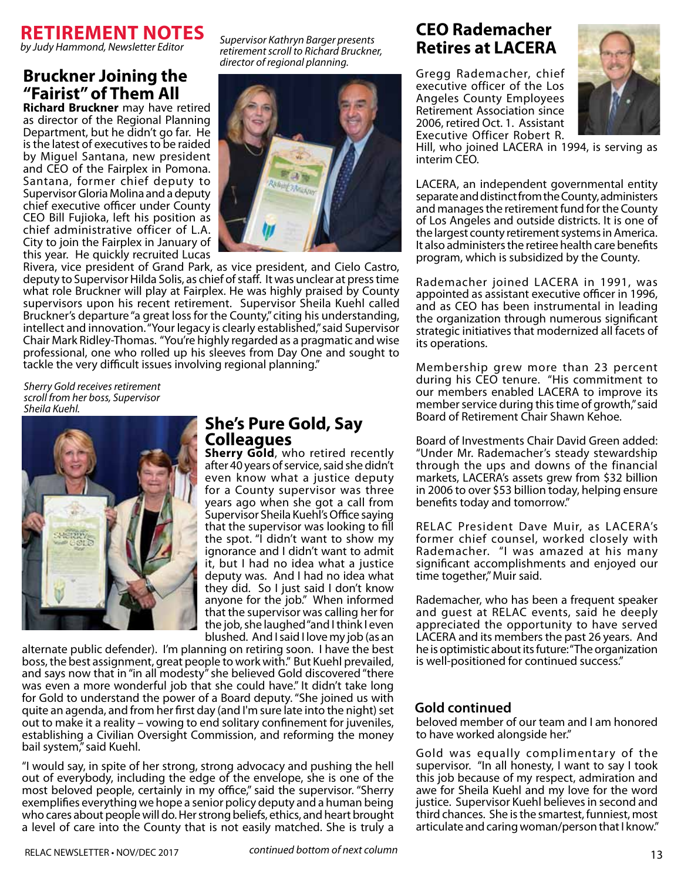

*by Judy Hammond, Newsletter Editor*

### **Bruckner Joining the "Fairist" of Them All**

**Richard Bruckner** may have retired as director of the Regional Planning Department, but he didn't go far. He is the latest of executives to be raided by Miguel Santana, new president and CEO of the Fairplex in Pomona. Santana, former chief deputy to Supervisor Gloria Molina and a deputy chief executive officer under County CEO Bill Fujioka, left his position as chief administrative officer of L.A. City to join the Fairplex in January of this year. He quickly recruited Lucas

*Supervisor Kathryn Barger presents retirement scroll to Richard Bruckner, director of regional planning.*



Rivera, vice president of Grand Park, as vice president, and Cielo Castro, deputy to Supervisor Hilda Solis, as chief of staff. It was unclear at press time what role Bruckner will play at Fairplex. He was highly praised by County supervisors upon his recent retirement. Supervisor Sheila Kuehl called Bruckner's departure "a great loss for the County," citing his understanding, intellect and innovation. "Your legacy is clearly established," said Supervisor Chair Mark Ridley-Thomas. "You're highly regarded as a pragmatic and wise professional, one who rolled up his sleeves from Day One and sought to tackle the very difficult issues involving regional planning."

*Sherry Gold receives retirement scroll from her boss, Supervisor Sheila Kuehl.*



### **She's Pure Gold, Say Colleagues**

**Sherry Gold**, who retired recently after 40 years of service, said she didn't even know what a justice deputy for a County supervisor was three years ago when she got a call from Supervisor Sheila Kuehl's Office saying that the supervisor was looking to fill the spot. "I didn't want to show my ignorance and I didn't want to admit it, but I had no idea what a justice deputy was. And I had no idea what they did. So I just said I don't know anyone for the job." When informed that the supervisor was calling her for the job, she laughed "and I think I even blushed. And I said I love my job (as an

alternate public defender). I'm planning on retiring soon. I have the best boss, the best assignment, great people to work with." But Kuehl prevailed, and says now that in "in all modesty" she believed Gold discovered "there was even a more wonderful job that she could have." It didn't take long for Gold to understand the power of a Board deputy. "She joined us with quite an agenda, and from her first day (and I'm sure late into the night) set out to make it a reality – vowing to end solitary confinement for juveniles, establishing a Civilian Oversight Commission, and reforming the money bail system," said Kuehl.

"I would say, in spite of her strong, strong advocacy and pushing the hell out of everybody, including the edge of the envelope, she is one of the most beloved people, certainly in my office," said the supervisor. "Sherry exemplifies everything we hope a senior policy deputy and a human being who cares about people will do. Her strong beliefs, ethics, and heart brought a level of care into the County that is not easily matched. She is truly a

## **CEO Rademacher Retires at LACERA**

Gregg Rademacher, chief executive officer of the Los Angeles County Employees Retirement Association since 2006, retired Oct. 1. Assistant Executive Officer Robert R.



Hill, who joined LACERA in 1994, is serving as interim CEO.

LACERA, an independent governmental entity separate and distinct from the County, administers and manages the retirement fund for the County of Los Angeles and outside districts. It is one of the largest county retirement systems in America. It also administers the retiree health care benefits program, which is subsidized by the County.

Rademacher joined LACERA in 1991, was appointed as assistant executive officer in 1996, and as CEO has been instrumental in leading the organization through numerous significant strategic initiatives that modernized all facets of its operations.

Membership grew more than 23 percent during his CEO tenure. "His commitment to our members enabled LACERA to improve its member service during this time of growth," said Board of Retirement Chair Shawn Kehoe.

Board of Investments Chair David Green added: "Under Mr. Rademacher's steady stewardship through the ups and downs of the financial markets, LACERA's assets grew from \$32 billion in 2006 to over \$53 billion today, helping ensure benefits today and tomorrow."

RELAC President Dave Muir, as LACERA's former chief counsel, worked closely with Rademacher. "I was amazed at his many significant accomplishments and enjoyed our time together," Muir said.

Rademacher, who has been a frequent speaker and guest at RELAC events, said he deeply appreciated the opportunity to have served LACERA and its members the past 26 years. And he is optimistic about its future: "The organization is well-positioned for continued success."

### **Gold continued**

beloved member of our team and I am honored to have worked alongside her."

Gold was equally complimentary of the supervisor. "In all honesty, I want to say I took this job because of my respect, admiration and awe for Sheila Kuehl and my love for the word justice. Supervisor Kuehl believes in second and third chances. She is the smartest, funniest, most articulate and caring woman/person that I know."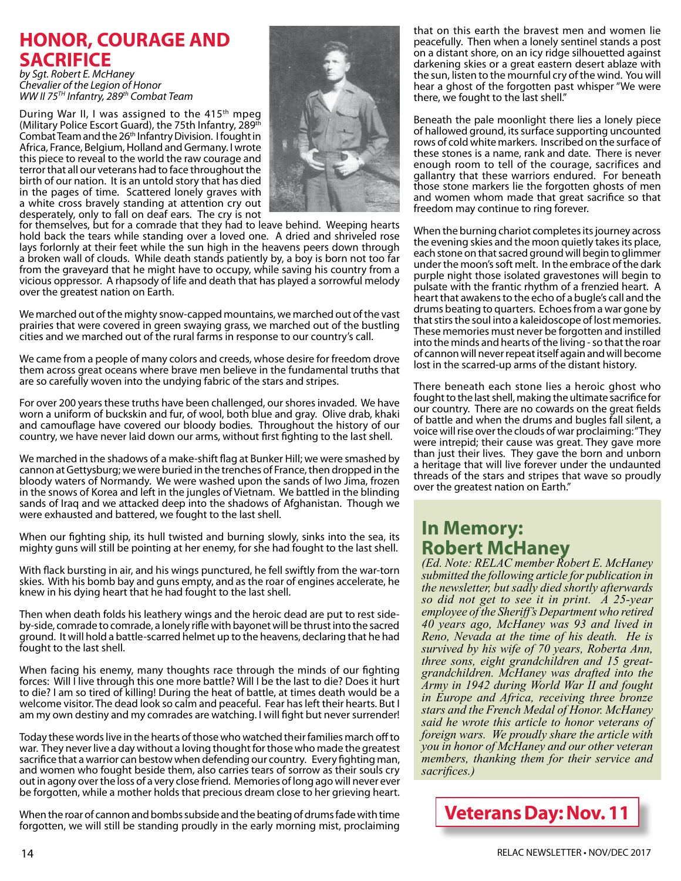## **HONOR, COURAGE AND SACRIFICE**

*by Sgt. Robert E. McHaney Chevalier of the Legion of Honor WW II 75TH Infantry, 289th Combat Team*

During War II, I was assigned to the  $415<sup>th</sup>$  mpeg (Military Police Escort Guard), the 75th Infantry, 289th Combat Team and the 26th Infantry Division. I fought in Africa, France, Belgium, Holland and Germany. I wrote this piece to reveal to the world the raw courage and terror that all our veterans had to face throughout the birth of our nation. It is an untold story that has died in the pages of time. Scattered lonely graves with a white cross bravely standing at attention cry out desperately, only to fall on deaf ears. The cry is not



for themselves, but for a comrade that they had to leave behind. Weeping hearts hold back the tears while standing over a loved one. A dried and shriveled rose lays forlornly at their feet while the sun high in the heavens peers down through a broken wall of clouds. While death stands patiently by, a boy is born not too far from the graveyard that he might have to occupy, while saving his country from a vicious oppressor. A rhapsody of life and death that has played a sorrowful melody over the greatest nation on Earth.

We marched out of the mighty snow-capped mountains, we marched out of the vast prairies that were covered in green swaying grass, we marched out of the bustling cities and we marched out of the rural farms in response to our country's call.

We came from a people of many colors and creeds, whose desire for freedom drove them across great oceans where brave men believe in the fundamental truths that are so carefully woven into the undying fabric of the stars and stripes.

For over 200 years these truths have been challenged, our shores invaded. We have worn a uniform of buckskin and fur, of wool, both blue and gray. Olive drab, khaki and camouflage have covered our bloody bodies. Throughout the history of our country, we have never laid down our arms, without first fighting to the last shell.

We marched in the shadows of a make-shift flag at Bunker Hill; we were smashed by cannon at Gettysburg; we were buried in the trenches of France, then dropped in the bloody waters of Normandy. We were washed upon the sands of Iwo Jima, frozen in the snows of Korea and left in the jungles of Vietnam. We battled in the blinding sands of Iraq and we attacked deep into the shadows of Afghanistan. Though we were exhausted and battered, we fought to the last shell.

When our fighting ship, its hull twisted and burning slowly, sinks into the sea, its mighty guns will still be pointing at her enemy, for she had fought to the last shell.

With flack bursting in air, and his wings punctured, he fell swiftly from the war-torn skies. With his bomb bay and guns empty, and as the roar of engines accelerate, he knew in his dying heart that he had fought to the last shell.

Then when death folds his leathery wings and the heroic dead are put to rest sideby-side, comrade to comrade, a lonely rifle with bayonet will be thrust into the sacred ground. It will hold a battle-scarred helmet up to the heavens, declaring that he had fought to the last shell.

When facing his enemy, many thoughts race through the minds of our fighting forces: Will I live through this one more battle? Will I be the last to die? Does it hurt to die? I am so tired of killing! During the heat of battle, at times death would be a welcome visitor. The dead look so calm and peaceful. Fear has left their hearts. But I am my own destiny and my comrades are watching. I will fight but never surrender!

Today these words live in the hearts of those who watched their families march off to war. They never live a day without a loving thought for those who made the greatest sacrifice that a warrior can bestow when defending our country. Every fighting man, and women who fought beside them, also carries tears of sorrow as their souls cry out in agony over the loss of a very close friend. Memories of long ago will never ever be forgotten, while a mother holds that precious dream close to her grieving heart.

When the roar of cannon and bombs subside and the beating of drums fade with time forgotten, we will still be standing proudly in the early morning mist, proclaiming

that on this earth the bravest men and women lie peacefully. Then when a lonely sentinel stands a post on a distant shore, on an icy ridge silhouetted against darkening skies or a great eastern desert ablaze with the sun, listen to the mournful cry of the wind. You will hear a ghost of the forgotten past whisper "We were there, we fought to the last shell."

Beneath the pale moonlight there lies a lonely piece of hallowed ground, its surface supporting uncounted rows of cold white markers. Inscribed on the surface of these stones is a name, rank and date. There is never enough room to tell of the courage, sacrifices and gallantry that these warriors endured. For beneath those stone markers lie the forgotten ghosts of men and women whom made that great sacrifice so that freedom may continue to ring forever.

When the burning chariot completes its journey across the evening skies and the moon quietly takes its place, each stone on that sacred ground will begin to glimmer under the moon's soft melt. In the embrace of the dark purple night those isolated gravestones will begin to pulsate with the frantic rhythm of a frenzied heart. A heart that awakens to the echo of a bugle's call and the drums beating to quarters. Echoes from a war gone by that stirs the soul into a kaleidoscope of lost memories. These memories must never be forgotten and instilled into the minds and hearts of the living - so that the roar of cannon will never repeat itself again and will become lost in the scarred-up arms of the distant history.

There beneath each stone lies a heroic ghost who fought to the last shell, making the ultimate sacrifice for our country. There are no cowards on the great fields of battle and when the drums and bugles fall silent, a voice will rise over the clouds of war proclaiming: "They were intrepid; their cause was great. They gave more than just their lives. They gave the born and unborn a heritage that will live forever under the undaunted threads of the stars and stripes that wave so proudly over the greatest nation on Earth."

## **In Memory: Robert McHaney**

*(Ed. Note: RELAC member Robert E. McHaney submitted the following article for publication in the newsletter, but sadly died shortly afterwards so did not get to see it in print. A 25-year employee of the Sheriff's Department who retired 40 years ago, McHaney was 93 and lived in Reno, Nevada at the time of his death. He is survived by his wife of 70 years, Roberta Ann, three sons, eight grandchildren and 15 greatgrandchildren. McHaney was drafted into the Army in 1942 during World War II and fought in Europe and Africa, receiving three bronze stars and the French Medal of Honor. McHaney said he wrote this article to honor veterans of foreign wars. We proudly share the article with you in honor of McHaney and our other veteran members, thanking them for their service and sacrifices.)*

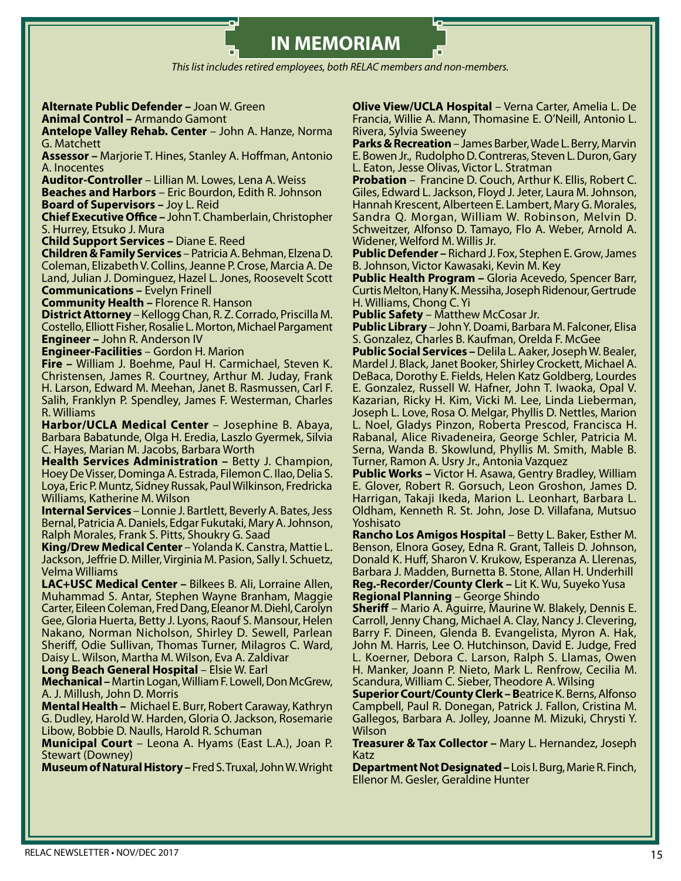**IN MEMORIAM**

*This list includes retired employees, both RELAC members and non-members.*

#### **Alternate Public Defender –** Joan W. Green

**Animal Control –** Armando Gamont

**Antelope Valley Rehab. Center** – John A. Hanze, Norma G. Matchett

**Assessor –** Marjorie T. Hines, Stanley A. Hoffman, Antonio A. Inocentes

**Auditor-Controller** – Lillian M. Lowes, Lena A. Weiss

**Beaches and Harbors** – Eric Bourdon, Edith R. Johnson

**Board of Supervisors –** Joy L. Reid

**Chief Executive Office –** John T. Chamberlain, Christopher S. Hurrey, Etsuko J. Mura

**Child Support Services –** Diane E. Reed

**Children & Family Services** – Patricia A. Behman, Elzena D. Coleman, Elizabeth V. Collins, Jeanne P. Crose, Marcia A. De Land, Julian J. Dominguez, Hazel L. Jones, Roosevelt Scott **Communications –** Evelyn Frinell

**Community Health –** Florence R. Hanson

**District Attorney** – Kellogg Chan, R. Z. Corrado, Priscilla M. Costello, Elliott Fisher, Rosalie L. Morton, Michael Pargament **Engineer –** John R. Anderson IV

**Engineer-Facilities** – Gordon H. Marion

**Fire –** William J. Boehme, Paul H. Carmichael, Steven K. Christensen, James R. Courtney, Arthur M. Juday, Frank H. Larson, Edward M. Meehan, Janet B. Rasmussen, Carl F. Salih, Franklyn P. Spendley, James F. Westerman, Charles R. Williams

**Harbor/UCLA Medical Center** – Josephine B. Abaya, Barbara Babatunde, Olga H. Eredia, Laszlo Gyermek, Silvia C. Hayes, Marian M. Jacobs, Barbara Worth

**Health Services Administration –** Betty J. Champion, Hoey De Visser, Dominga A. Estrada, Filemon C. Ilao, Delia S. Loya, Eric P. Muntz, Sidney Russak, Paul Wilkinson, Fredricka Williams, Katherine M. Wilson

**Internal Services** – Lonnie J. Bartlett, Beverly A. Bates, Jess Bernal, Patricia A. Daniels, Edgar Fukutaki, Mary A. Johnson, Ralph Morales, Frank S. Pitts, Shoukry G. Saad

**King/Drew Medical Center** – Yolanda K. Canstra, Mattie L. Jackson, Jeffrie D. Miller, Virginia M. Pasion, Sally I. Schuetz, Velma Williams

**LAC+USC Medical Center –** Bilkees B. Ali, Lorraine Allen, Muhammad S. Antar, Stephen Wayne Branham, Maggie Carter, Eileen Coleman, Fred Dang, Eleanor M. Diehl, Carolyn Gee, Gloria Huerta, Betty J. Lyons, Raouf S. Mansour, Helen Nakano, Norman Nicholson, Shirley D. Sewell, Parlean Sheriff, Odie Sullivan, Thomas Turner, Milagros C. Ward, Daisy L. Wilson, Martha M. Wilson, Eva A. Zaldivar

**Long Beach General Hospital** – Elsie W. Earl

**Mechanical –** Martin Logan,William F. Lowell, Don McGrew, A. J. Millush, John D. Morris

**Mental Health –** Michael E. Burr, Robert Caraway, Kathryn G. Dudley, Harold W. Harden, Gloria O. Jackson, Rosemarie Libow, Bobbie D. Naulls, Harold R. Schuman

**Municipal Court** – Leona A. Hyams (East L.A.), Joan P. Stewart (Downey)

**Museum of Natural History –** Fred S. Truxal, John W. Wright

**Olive View/UCLA Hospital** – Verna Carter, Amelia L. De Francia, Willie A. Mann, Thomasine E. O'Neill, Antonio L. Rivera, Sylvia Sweeney

**Parks & Recreation** – James Barber, Wade L. Berry, Marvin E. Bowen Jr., Rudolpho D. Contreras, Steven L. Duron, Gary L. Eaton, Jesse Olivas, Victor L. Stratman

**Probation** – Francine D. Couch, Arthur K. Ellis, Robert C. Giles, Edward L. Jackson, Floyd J. Jeter, Laura M. Johnson, Hannah Krescent, Alberteen E. Lambert, Mary G. Morales, Sandra Q. Morgan, William W. Robinson, Melvin D. Schweitzer, Alfonso D. Tamayo, Flo A. Weber, Arnold A. Widener, Welford M. Willis Jr.

**Public Defender –** Richard J. Fox, Stephen E. Grow, James B. Johnson, Victor Kawasaki, Kevin M. Key

**Public Health Program –** Gloria Acevedo, Spencer Barr, Curtis Melton, Hany K. Messiha, Joseph Ridenour, Gertrude H. Williams, Chong C. Yi

**Public Safety** – Matthew McCosar Jr.

**Public Library** – John Y. Doami, Barbara M. Falconer, Elisa S. Gonzalez, Charles B. Kaufman, Orelda F. McGee

**Public Social Services –** Delila L. Aaker, Joseph W. Bealer, Mardel J. Black, Janet Booker, Shirley Crockett, Michael A. DeBaca, Dorothy E. Fields, Helen Katz Goldberg, Lourdes E. Gonzalez, Russell W. Hafner, John T. Iwaoka, Opal V. Kazarian, Ricky H. Kim, Vicki M. Lee, Linda Lieberman, Joseph L. Love, Rosa O. Melgar, Phyllis D. Nettles, Marion L. Noel, Gladys Pinzon, Roberta Prescod, Francisca H. Rabanal, Alice Rivadeneira, George Schler, Patricia M. Serna, Wanda B. Skowlund, Phyllis M. Smith, Mable B. Turner, Ramon A. Usry Jr., Antonia Vazquez

**Public Works –** Victor H. Asawa, Gentry Bradley, William E. Glover, Robert R. Gorsuch, Leon Groshon, James D. Harrigan, Takaji Ikeda, Marion L. Leonhart, Barbara L. Oldham, Kenneth R. St. John, Jose D. Villafana, Mutsuo Yoshisato

**Rancho Los Amigos Hospital** – Betty L. Baker, Esther M. Benson, Elnora Gosey, Edna R. Grant, Talleis D. Johnson, Donald K. Huff, Sharon V. Krukow, Esperanza A. Llerenas, Barbara J. Madden, Burnetta B. Stone, Allan H. Underhill **Reg.-Recorder/County Clerk –** Lit K. Wu, Suyeko Yusa

**Regional Planning** – George Shindo

**Sheriff** – Mario A. Aguirre, Maurine W. Blakely, Dennis E. Carroll, Jenny Chang, Michael A. Clay, Nancy J. Clevering, Barry F. Dineen, Glenda B. Evangelista, Myron A. Hak, John M. Harris, Lee O. Hutchinson, David E. Judge, Fred L. Koerner, Debora C. Larson, Ralph S. Llamas, Owen H. Manker, Joann P. Nieto, Mark L. Renfrow, Cecilia M. Scandura, William C. Sieber, Theodore A. Wilsing

**Superior Court/County Clerk – B**eatrice K. Berns, Alfonso Campbell, Paul R. Donegan, Patrick J. Fallon, Cristina M. Gallegos, Barbara A. Jolley, Joanne M. Mizuki, Chrysti Y. Wilson

**Treasurer & Tax Collector –** Mary L. Hernandez, Joseph Katz

**Department Not Designated –** Lois I. Burg, Marie R. Finch, Ellenor M. Gesler, Geraldine Hunter